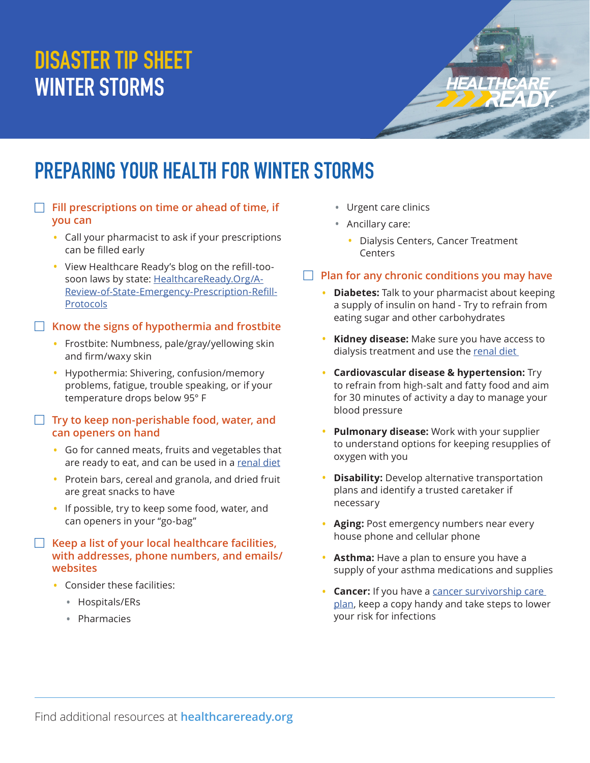# **DISASTER TIP SHEET WINTER STORMS**

## **PREPARING YOUR HEALTH FOR WINTER STORMS**

- $\Box$  Fill prescriptions on time or ahead of time, if **you can** 
	- Call your pharmacist to ask if your prescriptions can be filled early
	- View Healthcare Ready's blog on the refill-toosoon laws by state: [HealthcareReady.Org/A-](https://healthcareready.org/a-review-of-state-emergency-prescription-refill-protocols/)[Review-of-State-Emergency-Prescription-Refill-](https://healthcareready.org/a-review-of-state-emergency-prescription-refill-protocols/)[Protocols](https://healthcareready.org/a-review-of-state-emergency-prescription-refill-protocols/)

#### **EXALLET IS KNOW THE SIGNS OF hypothermia and frostbite**

- Frostbite: Numbness, pale/gray/yellowing skin and firm/waxy skin
- Hypothermia: Shivering, confusion/memory problems, fatigue, trouble speaking, or if your temperature drops below 95° F

#### □ Try to keep non-perishable food, water, and **can openers on hand**

- Go for canned meats, fruits and vegetables that are ready to eat, and can be used in a [renal diet](https://www.kcercoalition.com/contentassets/6270a03f0aef48ee8bb83100f04e37f2/kcer_-3-day-emergency-diet_final_508.pdf)
- Protein bars, cereal and granola, and dried fruit are great snacks to have
- If possible, try to keep some food, water, and can openers in your "go-bag"

#### F Keep a list of your local healthcare facilities, **with addresses, phone numbers, and emails/ websites**

- Consider these facilities:
	- Hospitals/ERs
	- Pharmacies
- Urgent care clinics
- Ancillary care:
	- Dialysis Centers, Cancer Treatment Centers
- **F** Plan for any chronic conditions you may have
	- **Diabetes:** Talk to your pharmacist about keeping a supply of insulin on hand - Try to refrain from eating sugar and other carbohydrates
	- **Kidney disease:** Make sure you have access to dialysis treatment and use the renal diet
	- **Cardiovascular disease & hypertension:** Try to refrain from high-salt and fatty food and aim for 30 minutes of activity a day to manage your blood pressure
	- **Pulmonary disease:** Work with your supplier to understand options for keeping resupplies of oxygen with you
	- **Disability:** Develop alternative transportation plans and identify a trusted caretaker if necessary
	- **Aging:** Post emergency numbers near every house phone and cellular phone
	- **Asthma:** Have a plan to ensure you have a supply of your asthma medications and supplies
	- **Cancer:** If you have a [cancer survivorship care](https://www.cdc.gov/cancer/survivors/life-after-cancer/survivorship-care-plans.htm)  [plan](https://www.cdc.gov/cancer/survivors/life-after-cancer/survivorship-care-plans.htm), keep a copy handy and take steps to lower your risk for infections